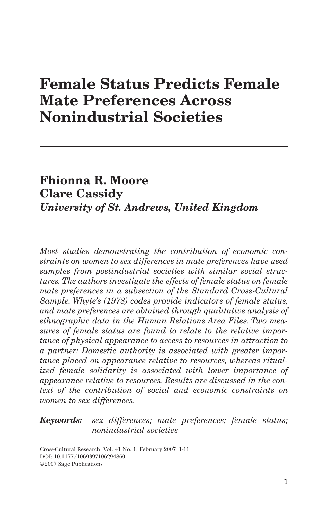# **Female Status Predicts Female Mate Preferences Across Nonindustrial Societies**

# **Fhionna R. Moore Clare Cassidy** *University of St. Andrews, United Kingdom*

*Most studies demonstrating the contribution of economic constraints on women to sex differences in mate preferences have used samples from postindustrial societies with similar social structures. The authors investigate the effects of female status on female mate preferences in a subsection of the Standard Cross-Cultural Sample. Whyte's (1978) codes provide indicators of female status, and mate preferences are obtained through qualitative analysis of ethnographic data in the Human Relations Area Files. Two measures of female status are found to relate to the relative importance of physical appearance to access to resources in attraction to a partner: Domestic authority is associated with greater importance placed on appearance relative to resources, whereas ritualized female solidarity is associated with lower importance of appearance relative to resources. Results are discussed in the context of the contribution of social and economic constraints on women to sex differences.*

# *Keywords: sex differences; mate preferences; female status; nonindustrial societies*

Cross-Cultural Research, Vol. 41 No. 1, February 2007 1-11 DOI: 10.1177/1069397106294860 ©2007 Sage Publications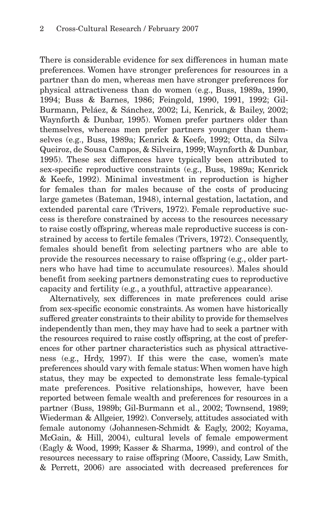There is considerable evidence for sex differences in human mate preferences. Women have stronger preferences for resources in a partner than do men, whereas men have stronger preferences for physical attractiveness than do women (e.g., Buss, 1989a, 1990, 1994; Buss & Barnes, 1986; Feingold, 1990, 1991, 1992; Gil-Burmann, Peláez, & Sánchez, 2002; Li, Kenrick, & Bailey, 2002; Waynforth & Dunbar, 1995). Women prefer partners older than themselves, whereas men prefer partners younger than themselves (e.g., Buss, 1989a; Kenrick & Keefe, 1992; Otta, da Silva Queiroz, de Sousa Campos, & Silveira, 1999; Waynforth & Dunbar, 1995). These sex differences have typically been attributed to sex-specific reproductive constraints (e.g., Buss, 1989a; Kenrick & Keefe, 1992). Minimal investment in reproduction is higher for females than for males because of the costs of producing large gametes (Bateman, 1948), internal gestation, lactation, and extended parental care (Trivers, 1972). Female reproductive success is therefore constrained by access to the resources necessary to raise costly offspring, whereas male reproductive success is constrained by access to fertile females (Trivers, 1972). Consequently, females should benefit from selecting partners who are able to provide the resources necessary to raise offspring (e.g., older partners who have had time to accumulate resources). Males should benefit from seeking partners demonstrating cues to reproductive capacity and fertility (e.g., a youthful, attractive appearance).

Alternatively, sex differences in mate preferences could arise from sex-specific economic constraints. As women have historically suffered greater constraints to their ability to provide for themselves independently than men, they may have had to seek a partner with the resources required to raise costly offspring, at the cost of preferences for other partner characteristics such as physical attractiveness (e.g., Hrdy, 1997). If this were the case, women's mate preferences should vary with female status:When women have high status, they may be expected to demonstrate less female-typical mate preferences. Positive relationships, however, have been reported between female wealth and preferences for resources in a partner (Buss, 1989b; Gil-Burmann et al., 2002; Townsend, 1989; Wiederman & Allgeier, 1992). Conversely, attitudes associated with female autonomy (Johannesen-Schmidt & Eagly, 2002; Koyama, McGain, & Hill, 2004), cultural levels of female empowerment (Eagly & Wood, 1999; Kasser & Sharma, 1999), and control of the resources necessary to raise offspring (Moore, Cassidy, Law Smith, & Perrett, 2006) are associated with decreased preferences for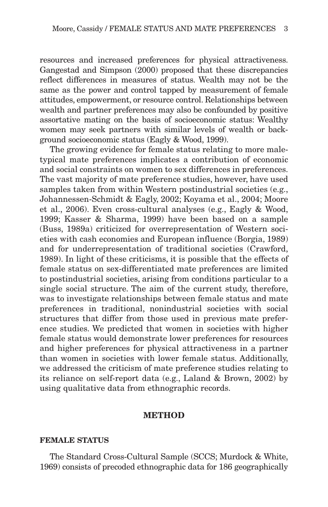resources and increased preferences for physical attractiveness. Gangestad and Simpson (2000) proposed that these discrepancies reflect differences in measures of status. Wealth may not be the same as the power and control tapped by measurement of female attitudes, empowerment, or resource control. Relationships between wealth and partner preferences may also be confounded by positive assortative mating on the basis of socioeconomic status: Wealthy women may seek partners with similar levels of wealth or background socioeconomic status (Eagly & Wood, 1999).

The growing evidence for female status relating to more maletypical mate preferences implicates a contribution of economic and social constraints on women to sex differences in preferences. The vast majority of mate preference studies, however, have used samples taken from within Western postindustrial societies (e.g., Johannessen-Schmidt & Eagly, 2002; Koyama et al., 2004; Moore et al., 2006). Even cross-cultural analyses (e.g., Eagly & Wood, 1999; Kasser & Sharma, 1999) have been based on a sample (Buss, 1989a) criticized for overrepresentation of Western societies with cash economies and European influence (Borgia, 1989) and for underrepresentation of traditional societies (Crawford, 1989). In light of these criticisms, it is possible that the effects of female status on sex-differentiated mate preferences are limited to postindustrial societies, arising from conditions particular to a single social structure. The aim of the current study, therefore, was to investigate relationships between female status and mate preferences in traditional, nonindustrial societies with social structures that differ from those used in previous mate preference studies. We predicted that women in societies with higher female status would demonstrate lower preferences for resources and higher preferences for physical attractiveness in a partner than women in societies with lower female status. Additionally, we addressed the criticism of mate preference studies relating to its reliance on self-report data (e.g., Laland & Brown, 2002) by using qualitative data from ethnographic records.

# **METHOD**

## **FEMALE STATUS**

The Standard Cross-Cultural Sample (SCCS; Murdock & White, 1969) consists of precoded ethnographic data for 186 geographically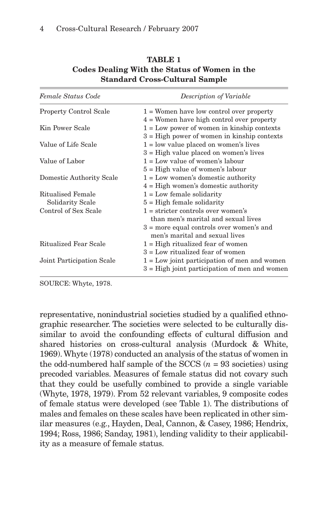| Female Status Code            | Description of Variable                         |  |  |
|-------------------------------|-------------------------------------------------|--|--|
| <b>Property Control Scale</b> | $1 =$ Women have low control over property      |  |  |
|                               | $4$ = Women have high control over property     |  |  |
| Kin Power Scale               | $1 =$ Low power of women in kinship contexts    |  |  |
|                               | $3$ = High power of women in kinship contexts   |  |  |
| Value of Life Scale           | $1 =$ low value placed on women's lives         |  |  |
|                               | $3$ = High value placed on women's lives        |  |  |
| Value of Labor                | $1 =$ Low value of women's labour               |  |  |
|                               | $5 =$ High value of women's labour              |  |  |
| Domestic Authority Scale      | $1 =$ Low women's domestic authority            |  |  |
|                               | $4 =$ High women's domestic authority           |  |  |
| Ritualised Female             | $1 =$ Low female solidarity                     |  |  |
| Solidarity Scale              | $5$ = High female solidarity                    |  |  |
| Control of Sex Scale          | $1 =$ stricter controls over women's            |  |  |
|                               | than men's marital and sexual lives             |  |  |
|                               | $3$ = more equal controls over women's and      |  |  |
|                               | men's marital and sexual lives                  |  |  |
| Ritualized Fear Scale         | $1 =$ High ritualized fear of women             |  |  |
|                               | $3 =$ Low ritualized fear of women              |  |  |
| Joint Participation Scale     | $1 =$ Low joint participation of men and women  |  |  |
|                               | $3$ = High joint participation of men and women |  |  |

**TABLE 1 Codes Dealing With the Status of Women in the Standard Cross-Cultural Sample**

SOURCE: Whyte, 1978.

representative, nonindustrial societies studied by a qualified ethnographic researcher. The societies were selected to be culturally dissimilar to avoid the confounding effects of cultural diffusion and shared histories on cross-cultural analysis (Murdock & White, 1969).Whyte (1978) conducted an analysis of the status of women in the odd-numbered half sample of the SCCS  $(n = 93$  societies) using precoded variables. Measures of female status did not covary such that they could be usefully combined to provide a single variable (Whyte, 1978, 1979). From 52 relevant variables, 9 composite codes of female status were developed (see Table 1). The distributions of males and females on these scales have been replicated in other similar measures (e.g., Hayden, Deal, Cannon, & Casey, 1986; Hendrix, 1994; Ross, 1986; Sanday, 1981), lending validity to their applicability as a measure of female status.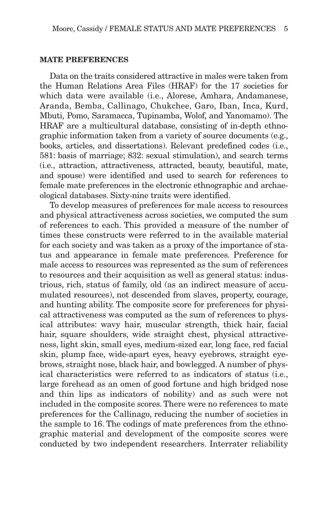#### **MATE PREFERENCES**

Data on the traits considered attractive in males were taken from the Human Relations Area Files (HRAF) for the 17 societies for which data were available (i.e., Alorese, Amhara, Andamanese, Aranda, Bemba, Callinago, Chukchee, Garo, Iban, Inca, Kurd, Mbuti, Pomo, Saramacca, Tupinamba, Wolof, and Yanomamo). The HRAF are a multicultural database, consisting of in-depth ethnographic information taken from a variety of source documents (e.g., books, articles, and dissertations). Relevant predefined codes (i.e., 581: basis of marriage; 832: sexual stimulation), and search terms (i.e., attraction, attractiveness, attracted, beauty, beautiful, mate, and spouse) were identified and used to search for references to female mate preferences in the electronic ethnographic and archaeological databases. Sixty-nine traits were identified.

To develop measures of preferences for male access to resources and physical attractiveness across societies, we computed the sum of references to each. This provided a measure of the number of times these constructs were referred to in the available material for each society and was taken as a proxy of the importance of status and appearance in female mate preferences. Preference for male access to resources was represented as the sum of references to resources and their acquisition as well as general status: industrious, rich, status of family, old (as an indirect measure of accumulated resources), not descended from slaves, property, courage, and hunting ability. The composite score for preferences for physical attractiveness was computed as the sum of references to physical attributes: wavy hair, muscular strength, thick hair, facial hair, square shoulders, wide straight chest, physical attractiveness, light skin, small eyes, medium-sized ear, long face, red facial skin, plump face, wide-apart eyes, heavy eyebrows, straight eyebrows, straight nose, black hair, and bowlegged. A number of physical characteristics were referred to as indicators of status (i.e., large forehead as an omen of good fortune and high bridged nose and thin lips as indicators of nobility) and as such were not included in the composite scores. There were no references to mate preferences for the Callinago, reducing the number of societies in the sample to 16. The codings of mate preferences from the ethnographic material and development of the composite scores were conducted by two independent researchers. Interrater reliability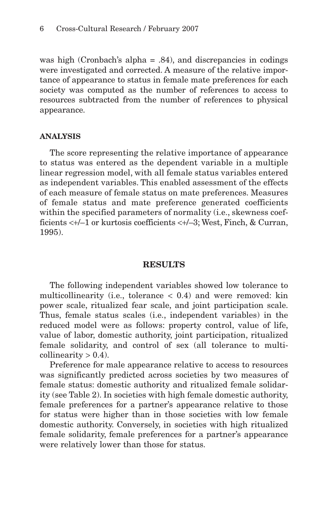was high (Cronbach's alpha = .84), and discrepancies in codings were investigated and corrected. A measure of the relative importance of appearance to status in female mate preferences for each society was computed as the number of references to access to resources subtracted from the number of references to physical appearance.

# **ANALYSIS**

The score representing the relative importance of appearance to status was entered as the dependent variable in a multiple linear regression model, with all female status variables entered as independent variables. This enabled assessment of the effects of each measure of female status on mate preferences. Measures of female status and mate preference generated coefficients within the specified parameters of normality (i.e., skewness coefficients <+/–1 or kurtosis coefficients <+/–3; West, Finch, & Curran, 1995).

# **RESULTS**

The following independent variables showed low tolerance to multicollinearity (i.e., tolerance  $< 0.4$ ) and were removed: kin power scale, ritualized fear scale, and joint participation scale. Thus, female status scales (i.e., independent variables) in the reduced model were as follows: property control, value of life, value of labor, domestic authority, joint participation, ritualized female solidarity, and control of sex (all tolerance to multi $collinearity > 0.4$ ).

Preference for male appearance relative to access to resources was significantly predicted across societies by two measures of female status: domestic authority and ritualized female solidarity (see Table 2). In societies with high female domestic authority, female preferences for a partner's appearance relative to those for status were higher than in those societies with low female domestic authority. Conversely, in societies with high ritualized female solidarity, female preferences for a partner's appearance were relatively lower than those for status.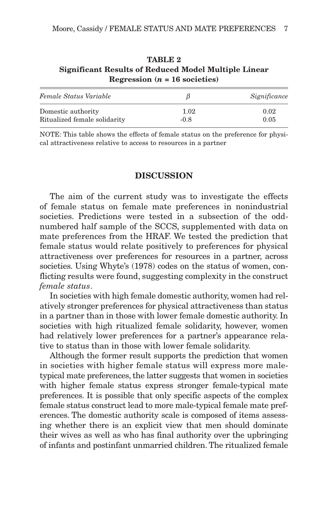| TABLE 2                                                     |  |  |
|-------------------------------------------------------------|--|--|
| <b>Significant Results of Reduced Model Multiple Linear</b> |  |  |
| Regression ( $n = 16$ societies)                            |  |  |

| Female Status Variable       |        | Significance |
|------------------------------|--------|--------------|
| Domestic authority           | 1.02   | 0.02         |
| Ritualized female solidarity | $-0.8$ | 0.05         |

NOTE: This table shows the effects of female status on the preference for physical attractiveness relative to access to resources in a partner

### **DISCUSSION**

The aim of the current study was to investigate the effects of female status on female mate preferences in nonindustrial societies. Predictions were tested in a subsection of the oddnumbered half sample of the SCCS, supplemented with data on mate preferences from the HRAF. We tested the prediction that female status would relate positively to preferences for physical attractiveness over preferences for resources in a partner, across societies. Using Whyte's (1978) codes on the status of women, conflicting results were found, suggesting complexity in the construct *female status*.

In societies with high female domestic authority, women had relatively stronger preferences for physical attractiveness than status in a partner than in those with lower female domestic authority. In societies with high ritualized female solidarity, however, women had relatively lower preferences for a partner's appearance relative to status than in those with lower female solidarity.

Although the former result supports the prediction that women in societies with higher female status will express more maletypical mate preferences, the latter suggests that women in societies with higher female status express stronger female-typical mate preferences. It is possible that only specific aspects of the complex female status construct lead to more male-typical female mate preferences. The domestic authority scale is composed of items assessing whether there is an explicit view that men should dominate their wives as well as who has final authority over the upbringing of infants and postinfant unmarried children. The ritualized female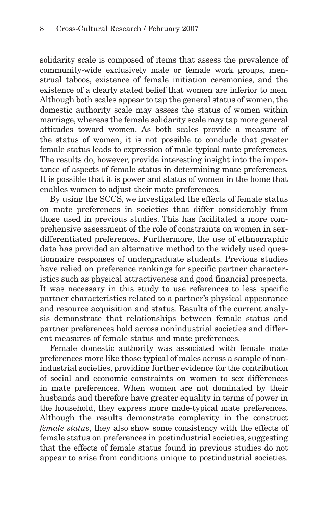solidarity scale is composed of items that assess the prevalence of community-wide exclusively male or female work groups, menstrual taboos, existence of female initiation ceremonies, and the existence of a clearly stated belief that women are inferior to men. Although both scales appear to tap the general status of women, the domestic authority scale may assess the status of women within marriage, whereas the female solidarity scale may tap more general attitudes toward women. As both scales provide a measure of the status of women, it is not possible to conclude that greater female status leads to expression of male-typical mate preferences. The results do, however, provide interesting insight into the importance of aspects of female status in determining mate preferences. It is possible that it is power and status of women in the home that enables women to adjust their mate preferences.

By using the SCCS, we investigated the effects of female status on mate preferences in societies that differ considerably from those used in previous studies. This has facilitated a more comprehensive assessment of the role of constraints on women in sexdifferentiated preferences. Furthermore, the use of ethnographic data has provided an alternative method to the widely used questionnaire responses of undergraduate students. Previous studies have relied on preference rankings for specific partner characteristics such as physical attractiveness and good financial prospects. It was necessary in this study to use references to less specific partner characteristics related to a partner's physical appearance and resource acquisition and status. Results of the current analysis demonstrate that relationships between female status and partner preferences hold across nonindustrial societies and different measures of female status and mate preferences.

Female domestic authority was associated with female mate preferences more like those typical of males across a sample of nonindustrial societies, providing further evidence for the contribution of social and economic constraints on women to sex differences in mate preferences. When women are not dominated by their husbands and therefore have greater equality in terms of power in the household, they express more male-typical mate preferences. Although the results demonstrate complexity in the construct *female status*, they also show some consistency with the effects of female status on preferences in postindustrial societies, suggesting that the effects of female status found in previous studies do not appear to arise from conditions unique to postindustrial societies.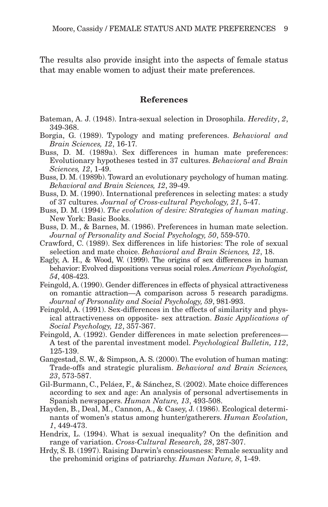The results also provide insight into the aspects of female status that may enable women to adjust their mate preferences.

# **References**

- Bateman, A. J. (1948). Intra-sexual selection in Drosophila. *Heredity*, *2*, 349-368.
- Borgia, G. (1989). Typology and mating preferences. *Behavioral and Brain Sciences, 12*, 16-17*.*
- Buss, D. M. (1989a). Sex differences in human mate preferences: Evolutionary hypotheses tested in 37 cultures. *Behavioral and Brain Sciences, 12*, 1-49.
- Buss, D. M. (1989b). Toward an evolutionary psychology of human mating. *Behavioral and Brain Sciences, 12*, 39-49.
- Buss, D. M. (1990). International preferences in selecting mates: a study of 37 cultures. *Journal of Cross-cultural Psychology, 21*, 5-47.
- Buss, D. M. (1994). *The evolution of desire: Strategies of human mating*. New York: Basic Books.
- Buss, D. M., & Barnes, M. (1986). Preferences in human mate selection. *Journal of Personality and Social Psychology, 50*, 559-570.
- Crawford, C. (1989). Sex differences in life histories: The role of sexual selection and mate choice. *Behavioral and Brain Sciences, 12*, 18.
- Eagly, A. H., & Wood, W. (1999). The origins of sex differences in human behavior: Evolved dispositions versus social roles. *American Psychologist, 54*, 408-423.
- Feingold, A. (1990). Gender differences in effects of physical attractiveness on romantic attraction—A comparison across 5 research paradigms. *Journal of Personality and Social Psychology, 59*, 981-993.
- Feingold, A. (1991). Sex-differences in the effects of similarity and physical attractiveness on opposite- sex attraction. *Basic Applications of Social Psychology, 12*, 357-367.
- Feingold, A. (1992). Gender differences in mate selection preferences— A test of the parental investment model. *Psychological Bulletin, 112*, 125-139.
- Gangestad, S. W., & Simpson, A. S. (2000). The evolution of human mating: Trade-offs and strategic pluralism. *Behavioral and Brain Sciences, 23*, 573-587.
- Gil-Burmann, C., Peláez, F., & Sánchez, S. (2002). Mate choice differences according to sex and age: An analysis of personal advertisements in Spanish newspapers. *Human Nature, 13*, 493-508.
- Hayden, B., Deal, M., Cannon, A., & Casey, J. (1986). Ecological determinants of women's status among hunter/gatherers. *Human Evolution, 1*, 449-473.
- Hendrix, L. (1994). What is sexual inequality? On the definition and range of variation. *Cross-Cultural Research, 28*, 287-307.
- Hrdy, S. B. (1997). Raising Darwin's consciousness: Female sexuality and the prehominid origins of patriarchy. *Human Nature, 8*, 1-49.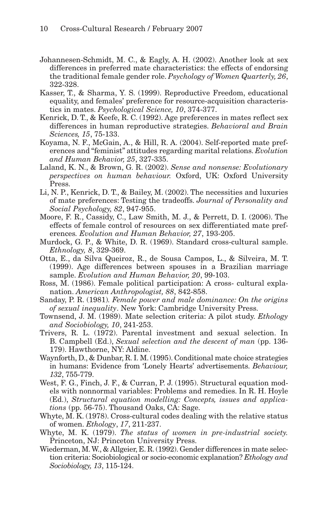- Johannesen-Schmidt, M. C., & Eagly, A. H. (2002). Another look at sex differences in preferred mate characteristics: the effects of endorsing the traditional female gender role. *Psychology of Women Quarterly, 26*, 322-328.
- Kasser, T., & Sharma, Y. S. (1999). Reproductive Freedom, educational equality, and females' preference for resource-acquisition characteristics in mates. *Psychological Science, 10*, 374-377.
- Kenrick, D. T., & Keefe, R. C. (1992). Age preferences in mates reflect sex differences in human reproductive strategies. *Behavioral and Brain Sciences, 15*, 75-133.
- Koyama, N. F., McGain, A., & Hill, R. A. (2004). Self-reported mate preferences and "feminist" attitudes regarding marital relations. *Evolution and Human Behavior, 25*, 327-335.
- Laland, K. N., & Brown, G. R. (2002). *Sense and nonsense: Evolutionary perspectives on human behaviour.* Oxford, UK: Oxford University Press.
- Li, N. P., Kenrick, D. T., & Bailey, M. (2002). The necessities and luxuries of mate preferences: Testing the tradeoffs. *Journal of Personality and Social Psychology, 82*, 947-955.
- Moore, F. R., Cassidy, C., Law Smith, M. J., & Perrett, D. I. (2006). The effects of female control of resources on sex differentiated mate preferences*. Evolution and Human Behavior, 27*, 193-205.
- Murdock, G. P., & White, D. R. (1969). Standard cross-cultural sample. *Ethnology, 8*, 329-369.
- Otta, E., da Silva Queiroz, R., de Sousa Campos, L., & Silveira, M. T. (1999). Age differences between spouses in a Brazilian marriage sample. *Evolution and Human Behavior, 20*, 99-103.
- Ross, M. (1986). Female political participation: A cross- cultural explanation. *American Anthropologist, 88*, 842-858.
- Sanday, P. R. (1981)*. Female power and male dominance: On the origins of sexual inequality*. New York: Cambridge University Press.
- Townsend, J. M. (1989). Mate selection criteria: A pilot study. *Ethology and Sociobiology, 10*, 241-253.
- Trivers, R. L. (1972). Parental investment and sexual selection. In B. Campbell (Ed.), *Sexual selection and the descent of man* (pp. 136- 179). Hawthorne, NY: Aldine.
- Waynforth, D., & Dunbar, R. I. M. (1995). Conditional mate choice strategies in humans: Evidence from 'Lonely Hearts' advertisements. *Behaviour, 132*, 755-779.
- West, F. G., Finch, J. F., & Curran, P. J. (1995). Structural equation models with nonnormal variables: Problems and remedies. In R. H. Hoyle (Ed.), *Structural equation modelling: Concepts, issues and applications* (pp. 56-75). Thousand Oaks, CA: Sage.
- Whyte, M. K. (1978). Cross-cultural codes dealing with the relative status of women. *Ethology*, *17*, 211-237.
- Whyte, M. K. (1979). *The status of women in pre-industrial society.* Princeton, NJ: Princeton University Press.
- Wiederman, M.W., & Allgeier, E. R. (1992). Gender differences in mate selection criteria: Sociobiological or socio-economic explanation? *Ethology and Sociobiology, 13*, 115-124.